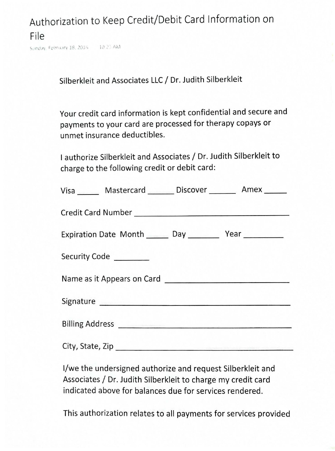Authorization to Keep Credit/Debit Card Information on File

Sunday, February 18, 2018 10:23 AM

Silberkleit and Associates LLC / Dr. Judith Silberkleit

Your credit card information is kept confidential and secure and payments to your card are processed for therapy copays or unmet insurance deductibles.

I authorize Silberkleit and Associates/ Dr. Judith Silberkleit to charge to the following credit or debit card:

| $\frac{1}{2}$                                                 |  |  |  |  |  |
|---------------------------------------------------------------|--|--|--|--|--|
| Visa Mastercard Discover Manus Amex                           |  |  |  |  |  |
|                                                               |  |  |  |  |  |
| Expiration Date Month _______ Day ___________ Year __________ |  |  |  |  |  |
| Security Code ________                                        |  |  |  |  |  |
|                                                               |  |  |  |  |  |
|                                                               |  |  |  |  |  |
|                                                               |  |  |  |  |  |
|                                                               |  |  |  |  |  |
|                                                               |  |  |  |  |  |

I/we the undersigned authorize and request Silberkleit and Associates/ Dr. Judith Silberkleit to charge my credit card indicated above for balances due for services rendered.

This authorization relates to all payments for services provided